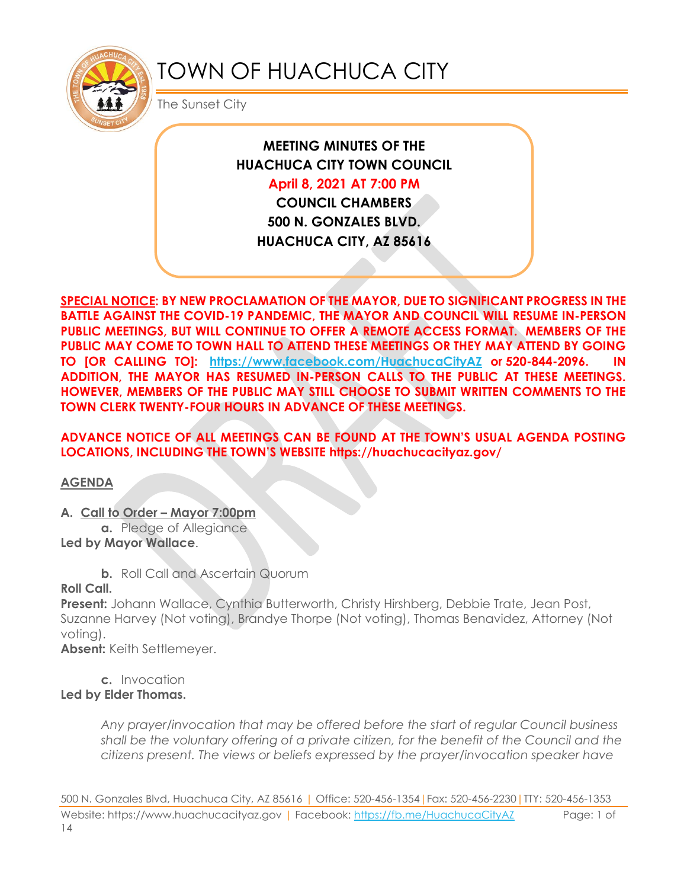

# TOWN OF HUACHUCA CITY

The Sunset City

## **MEETING MINUTES OF THE HUACHUCA CITY TOWN COUNCIL**

### **April 8, 2021 AT 7:00 PM**

**COUNCIL CHAMBERS 500 N. GONZALES BLVD. HUACHUCA CITY, AZ 85616**

**SPECIAL NOTICE: BY NEW PROCLAMATION OF THE MAYOR, DUE TO SIGNIFICANT PROGRESS IN THE BATTLE AGAINST THE COVID-19 PANDEMIC, THE MAYOR AND COUNCIL WILL RESUME IN-PERSON PUBLIC MEETINGS, BUT WILL CONTINUE TO OFFER A REMOTE ACCESS FORMAT. MEMBERS OF THE PUBLIC MAY COME TO TOWN HALL TO ATTEND THESE MEETINGS OR THEY MAY ATTEND BY GOING TO [OR CALLING TO]: <https://www.facebook.com/HuachucaCityAZ> or 520-844-2096. IN ADDITION, THE MAYOR HAS RESUMED IN-PERSON CALLS TO THE PUBLIC AT THESE MEETINGS. HOWEVER, MEMBERS OF THE PUBLIC MAY STILL CHOOSE TO SUBMIT WRITTEN COMMENTS TO THE TOWN CLERK TWENTY-FOUR HOURS IN ADVANCE OF THESE MEETINGS.** 

#### **ADVANCE NOTICE OF ALL MEETINGS CAN BE FOUND AT THE TOWN'S USUAL AGENDA POSTING LOCATIONS, INCLUDING THE TOWN'S WEBSITE https://huachucacityaz.gov/**

**AGENDA**

#### **A. Call to Order – Mayor 7:00pm**

**a.** Pledge of Allegiance **Led by Mayor Wallace**.

**b.** Roll Call and Ascertain Quorum

**Roll Call.**

**Present:** Johann Wallace, Cynthia Butterworth, Christy Hirshberg, Debbie Trate, Jean Post, Suzanne Harvey (Not voting), Brandye Thorpe (Not voting), Thomas Benavidez, Attorney (Not voting).

**Absent:** Keith Settlemeyer.

**c.** Invocation

#### **Led by Elder Thomas.**

*Any prayer/invocation that may be offered before the start of regular Council business shall be the voluntary offering of a private citizen, for the benefit of the Council and the citizens present. The views or beliefs expressed by the prayer/invocation speaker have* 

500 N. Gonzales Blvd, Huachuca City, AZ 85616 | Office: 520-456-1354|Fax: 520-456-2230|TTY: 520-456-1353 Website: https://www.huachucacityaz.gov | Facebook:<https://fb.me/HuachucaCityAZ> Page: 1 of 14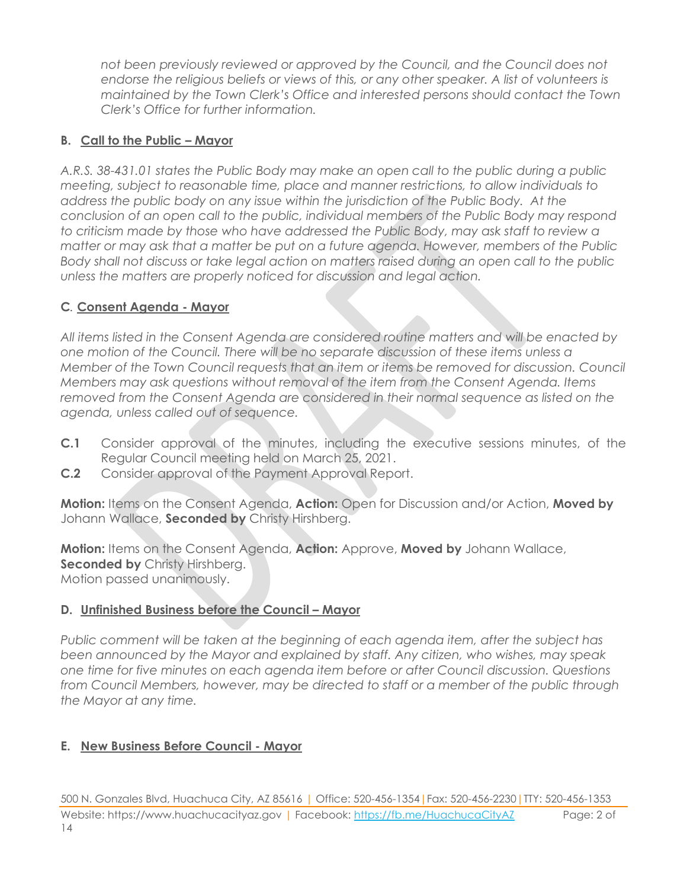*not been previously reviewed or approved by the Council, and the Council does not endorse the religious beliefs or views of this, or any other speaker. A list of volunteers is maintained by the Town Clerk's Office and interested persons should contact the Town Clerk's Office for further information.*

#### **B. Call to the Public – Mayor**

*A.R.S. 38-431.01 states the Public Body may make an open call to the public during a public meeting, subject to reasonable time, place and manner restrictions, to allow individuals to address the public body on any issue within the jurisdiction of the Public Body. At the conclusion of an open call to the public, individual members of the Public Body may respond to criticism made by those who have addressed the Public Body, may ask staff to review a matter or may ask that a matter be put on a future agenda. However, members of the Public Body shall not discuss or take legal action on matters raised during an open call to the public unless the matters are properly noticed for discussion and legal action.*

#### **C***.* **Consent Agenda - Mayor**

*All items listed in the Consent Agenda are considered routine matters and will be enacted by one motion of the Council. There will be no separate discussion of these items unless a Member of the Town Council requests that an item or items be removed for discussion. Council Members may ask questions without removal of the item from the Consent Agenda. Items removed from the Consent Agenda are considered in their normal sequence as listed on the agenda, unless called out of sequence.*

- **C.1** Consider approval of the minutes, including the executive sessions minutes, of the Regular Council meeting held on March 25, 2021.
- **C.2** Consider approval of the Payment Approval Report.

**Motion:** Items on the Consent Agenda, **Action:** Open for Discussion and/or Action, **Moved by** Johann Wallace, **Seconded by** Christy Hirshberg.

**Motion:** Items on the Consent Agenda, **Action:** Approve, **Moved by** Johann Wallace, **Seconded by Christy Hirshberg.** Motion passed unanimously.

#### **D.** Unfinished Business before the Council – Mayor

*Public comment will be taken at the beginning of each agenda item, after the subject has been announced by the Mayor and explained by staff. Any citizen, who wishes, may speak one time for five minutes on each agenda item before or after Council discussion. Questions from Council Members, however, may be directed to staff or a member of the public through the Mayor at any time.*

#### **E. New Business Before Council - Mayor**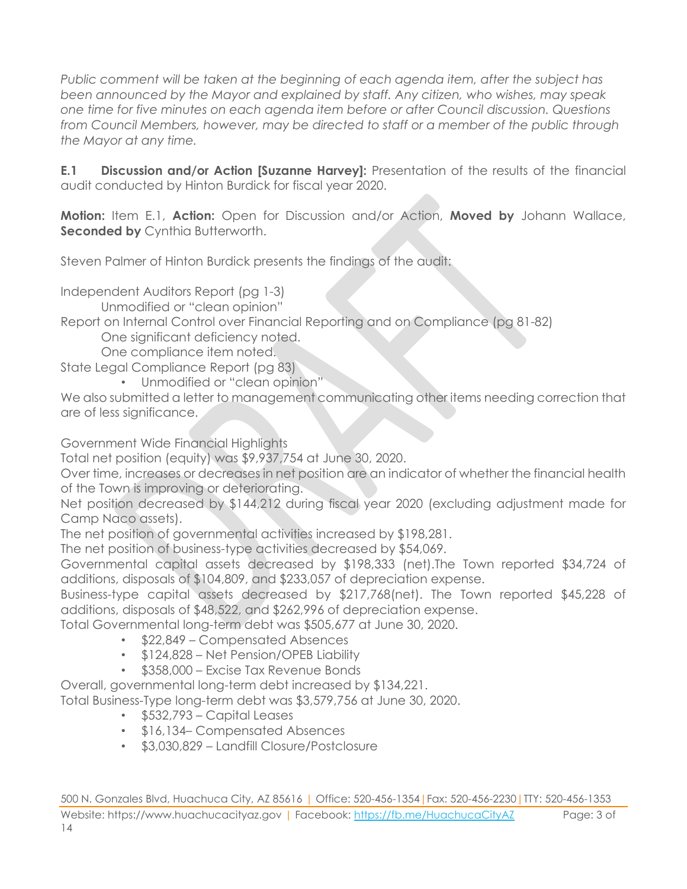*Public comment will be taken at the beginning of each agenda item, after the subject has been announced by the Mayor and explained by staff. Any citizen, who wishes, may speak one time for five minutes on each agenda item before or after Council discussion. Questions from Council Members, however, may be directed to staff or a member of the public through the Mayor at any time.*

**E.1 Discussion and/or Action [Suzanne Harvey]:** Presentation of the results of the financial audit conducted by Hinton Burdick for fiscal year 2020.

**Motion:** Item E.1, **Action:** Open for Discussion and/or Action, **Moved by** Johann Wallace, **Seconded by Cynthia Butterworth.** 

Steven Palmer of Hinton Burdick presents the findings of the audit:

Independent Auditors Report (pg 1-3)

Unmodified or "clean opinion"

Report on Internal Control over Financial Reporting and on Compliance (pg 81-82)

One significant deficiency noted.

One compliance item noted.

State Legal Compliance Report (pg 83)

• Unmodified or "clean opinion"

We also submitted a letter to management communicating other items needing correction that are of less significance.

Government Wide Financial Highlights

Total net position (equity) was \$9,937,754 at June 30, 2020.

Over time, increases or decreases in net position are an indicator of whether the financial health of the Town is improving or deteriorating.

Net position decreased by \$144,212 during fiscal year 2020 (excluding adjustment made for Camp Naco assets).

The net position of governmental activities increased by \$198,281.

The net position of business-type activities decreased by \$54,069.

Governmental capital assets decreased by \$198,333 (net).The Town reported \$34,724 of additions, disposals of \$104,809, and \$233,057 of depreciation expense.

Business-type capital assets decreased by \$217,768(net). The Town reported \$45,228 of additions, disposals of \$48,522, and \$262,996 of depreciation expense.

Total Governmental long-term debt was \$505,677 at June 30, 2020.

- \$22,849 Compensated Absences
- \$124,828 Net Pension/OPEB Liability
- \$358,000 Excise Tax Revenue Bonds

Overall, governmental long-term debt increased by \$134,221.

Total Business-Type long-term debt was \$3,579,756 at June 30, 2020.

- \$532,793 Capital Leases
- \$16,134– Compensated Absences
- \$3,030,829 Landfill Closure/Postclosure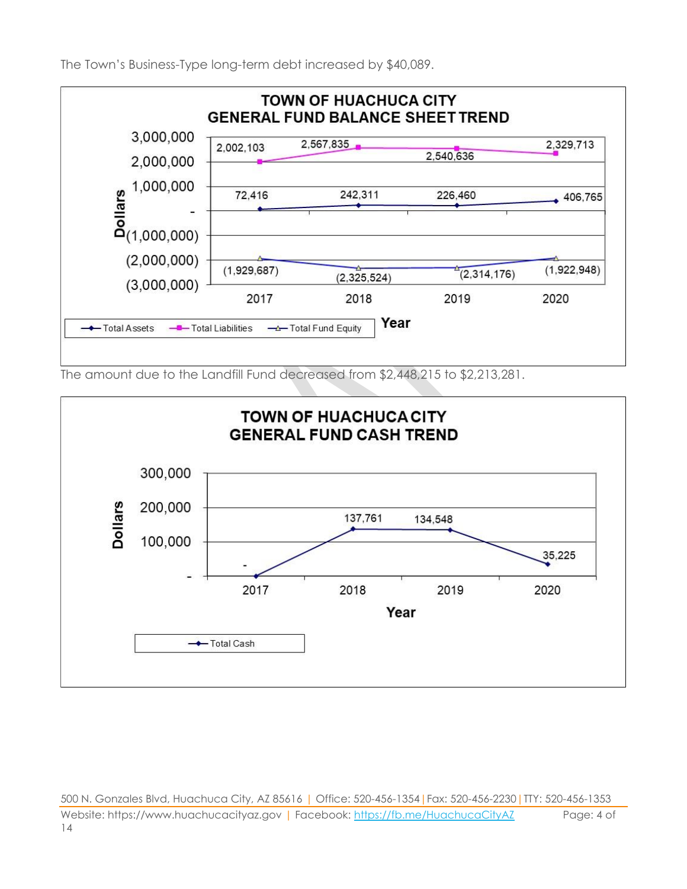The Town's Business-Type long-term debt increased by \$40,089.



The amount due to the Landfill Fund decreased from \$2,448,215 to \$2,213,281.



500 N. Gonzales Blvd, Huachuca City, AZ 85616 | Office: 520-456-1354|Fax: 520-456-2230|TTY: 520-456-1353 Website: https://www.huachucacityaz.gov | Facebook:<https://fb.me/HuachucaCityAZ> Page: 4 of 14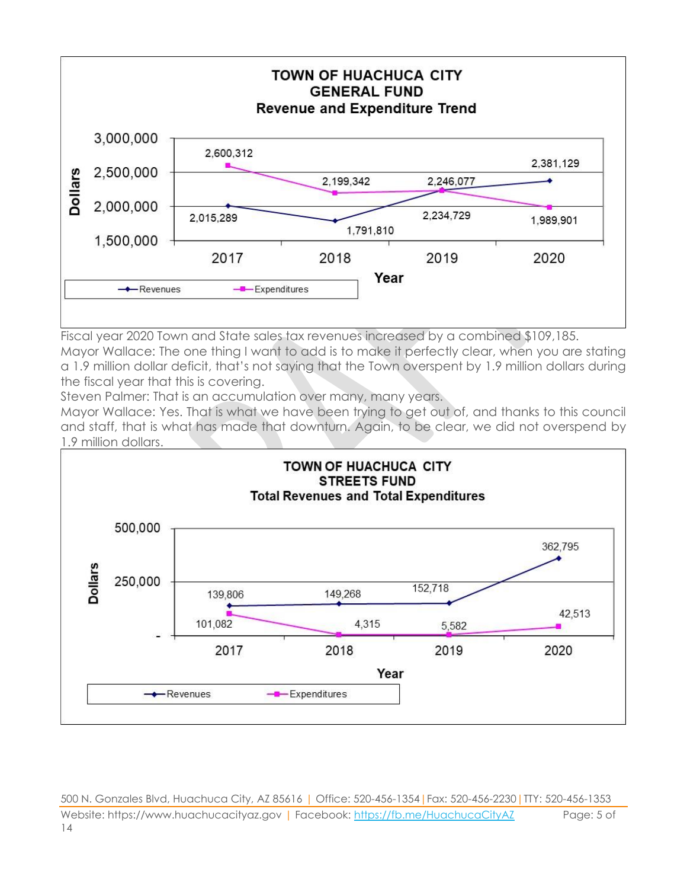

Fiscal year 2020 Town and State sales tax revenues increased by a combined \$109,185. Mayor Wallace: The one thing I want to add is to make it perfectly clear, when you are stating

a 1.9 million dollar deficit, that's not saying that the Town overspent by 1.9 million dollars during the fiscal year that this is covering.

Steven Palmer: That is an accumulation over many, many years.

Mayor Wallace: Yes. That is what we have been trying to get out of, and thanks to this council and staff, that is what has made that downturn. Again, to be clear, we did not overspend by 1.9 million dollars.



500 N. Gonzales Blvd, Huachuca City, AZ 85616 | Office: 520-456-1354|Fax: 520-456-2230|TTY: 520-456-1353 Website: https://www.huachucacityaz.gov | Facebook:<https://fb.me/HuachucaCityAZ> Page: 5 of 14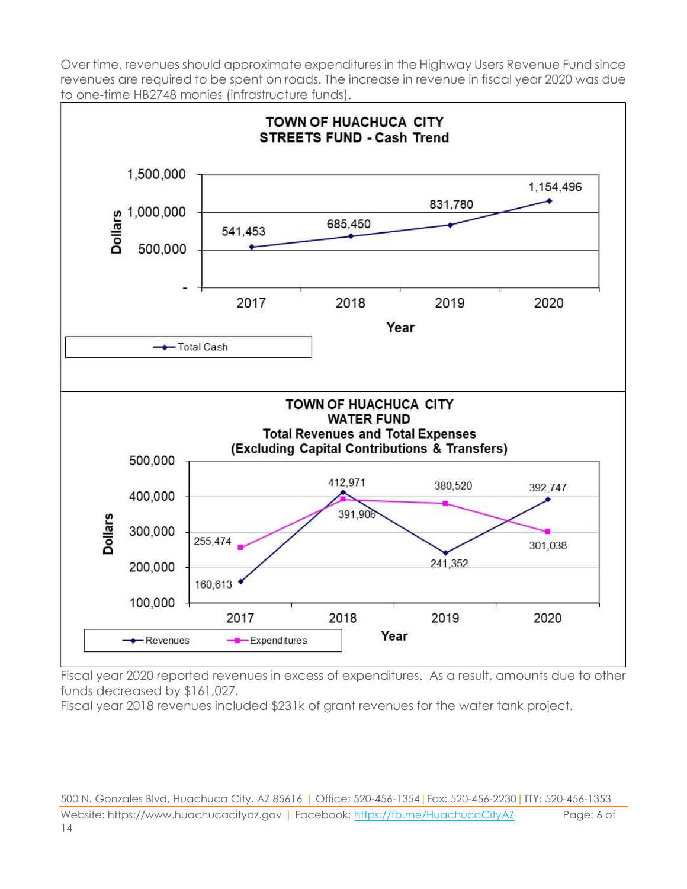Over time, revenues should approximate expenditures in the Highway Users Revenue Fund since revenues are required to be spent on roads. The increase in revenue in fiscal year 2020 was due to one-time HB2748 monies (infrastructure funds).



Fiscal year 2020 reported revenues in excess of expenditures. As a result, amounts due to other funds decreased by \$161,027.

Fiscal year 2018 revenues included \$231k of grant revenues for the water tank project.

500 N. Gonzales Blvd, Huachuca City, AZ 85616 | Office: 520-456-1354|Fax: 520-456-2230|TTY: 520-456-1353 Website: https://www.huachucacityaz.gov | Facebook:<https://fb.me/HuachucaCityAZ> Page: 6 of 14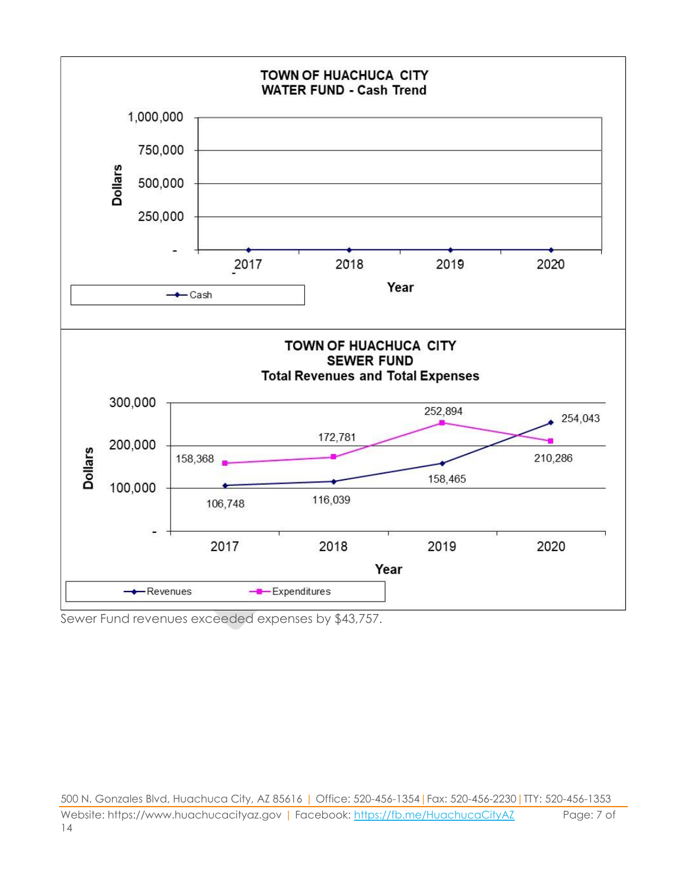

Sewer Fund revenues exceeded expenses by \$43,757.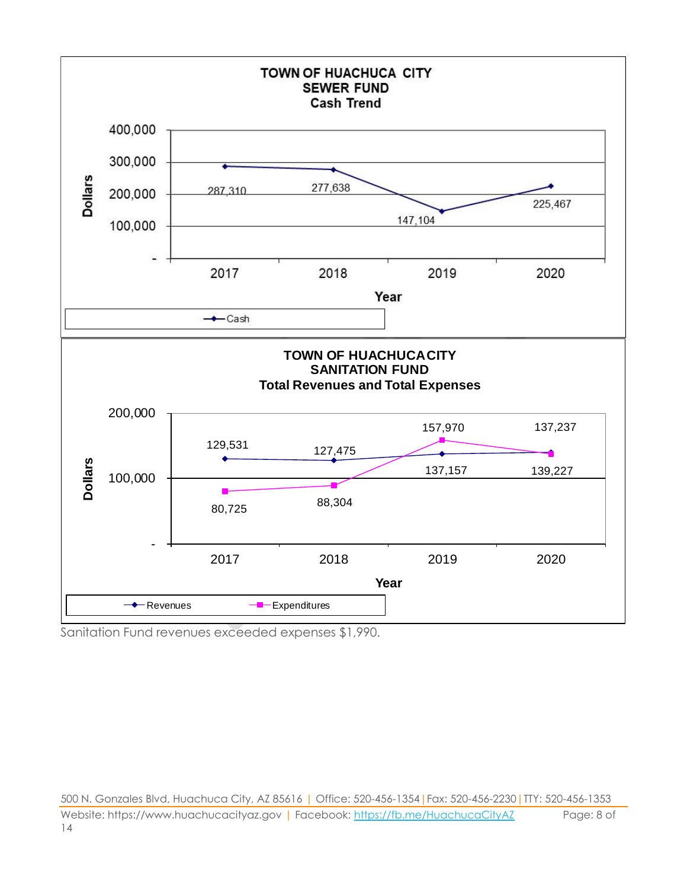

Sanitation Fund revenues exceeded expenses \$1,990.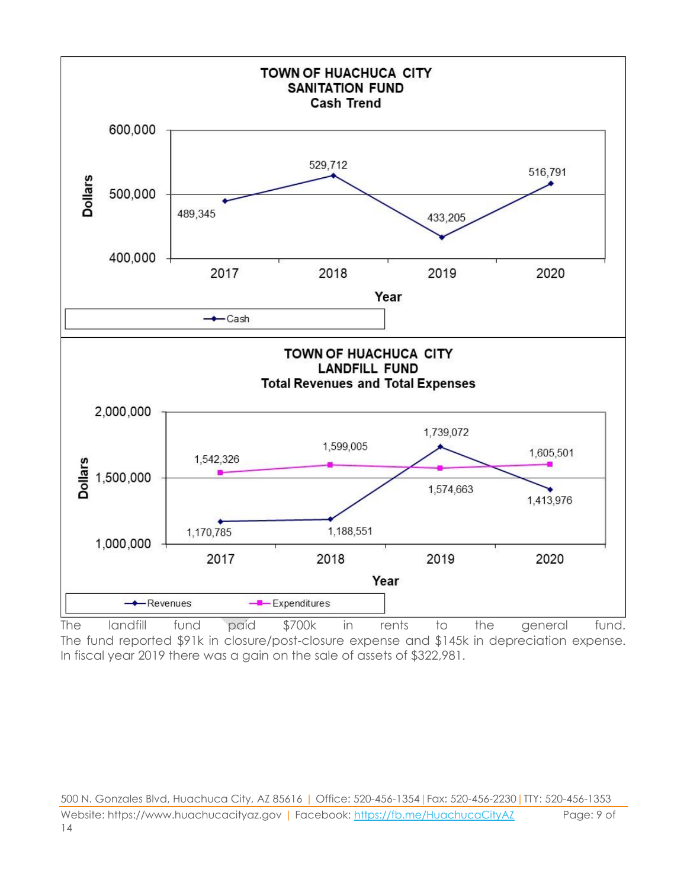

The landfill fund paid \$700k in rents to the general fund. The fund reported \$91k in closure/post-closure expense and \$145k in depreciation expense. In fiscal year 2019 there was a gain on the sale of assets of \$322,981.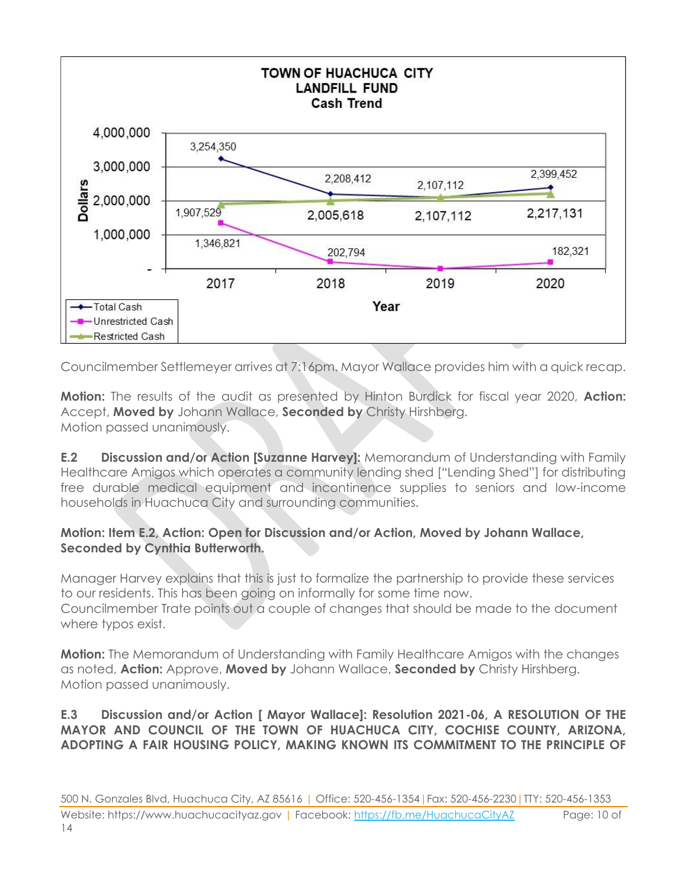

Councilmember Settlemeyer arrives at 7:16pm. Mayor Wallace provides him with a quick recap.

**Motion:** The results of the audit as presented by Hinton Burdick for fiscal year 2020, **Action:** Accept, **Moved by** Johann Wallace, **Seconded by** Christy Hirshberg. Motion passed unanimously.

**E.2 Discussion and/or Action [Suzanne Harvey]:** Memorandum of Understanding with Family Healthcare Amigos which operates a community lending shed ["Lending Shed"] for distributing free durable medical equipment and incontinence supplies to seniors and low-income households in Huachuca City and surrounding communities.

#### **Motion: Item E.2, Action: Open for Discussion and/or Action, Moved by Johann Wallace, Seconded by Cynthia Butterworth.**

Manager Harvey explains that this is just to formalize the partnership to provide these services to our residents. This has been going on informally for some time now. Councilmember Trate points out a couple of changes that should be made to the document where typos exist.

**Motion:** The Memorandum of Understanding with Family Healthcare Amigos with the changes as noted, **Action:** Approve, **Moved by** Johann Wallace, **Seconded by** Christy Hirshberg. Motion passed unanimously.

#### **E.3 Discussion and/or Action [ Mayor Wallace]: Resolution 2021-06, A RESOLUTION OF THE MAYOR AND COUNCIL OF THE TOWN OF HUACHUCA CITY, COCHISE COUNTY, ARIZONA, ADOPTING A FAIR HOUSING POLICY, MAKING KNOWN ITS COMMITMENT TO THE PRINCIPLE OF**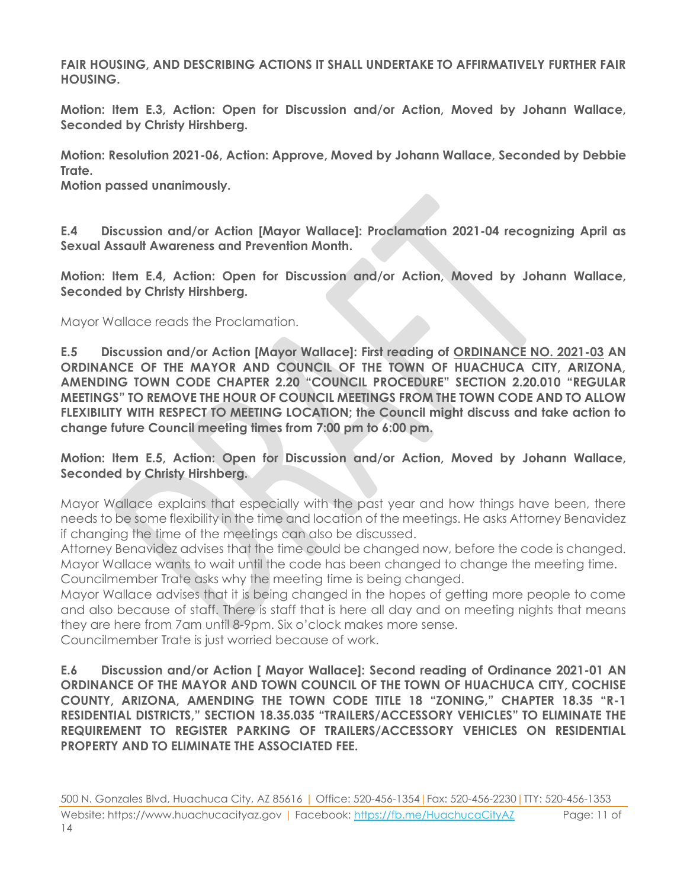**FAIR HOUSING, AND DESCRIBING ACTIONS IT SHALL UNDERTAKE TO AFFIRMATIVELY FURTHER FAIR HOUSING.**

**Motion: Item E.3, Action: Open for Discussion and/or Action, Moved by Johann Wallace, Seconded by Christy Hirshberg.**

**Motion: Resolution 2021-06, Action: Approve, Moved by Johann Wallace, Seconded by Debbie Trate.**

**Motion passed unanimously.**

**E.4 Discussion and/or Action [Mayor Wallace]: Proclamation 2021-04 recognizing April as Sexual Assault Awareness and Prevention Month.**

**Motion: Item E.4, Action: Open for Discussion and/or Action, Moved by Johann Wallace, Seconded by Christy Hirshberg.**

Mayor Wallace reads the Proclamation.

**E.5 Discussion and/or Action [Mayor Wallace]: First reading of ORDINANCE NO. 2021-03 AN ORDINANCE OF THE MAYOR AND COUNCIL OF THE TOWN OF HUACHUCA CITY, ARIZONA, AMENDING TOWN CODE CHAPTER 2.20 "COUNCIL PROCEDURE" SECTION 2.20.010 "REGULAR MEETINGS" TO REMOVE THE HOUR OF COUNCIL MEETINGS FROM THE TOWN CODE AND TO ALLOW FLEXIBILITY WITH RESPECT TO MEETING LOCATION; the Council might discuss and take action to change future Council meeting times from 7:00 pm to 6:00 pm.** 

**Motion: Item E.5, Action: Open for Discussion and/or Action, Moved by Johann Wallace, Seconded by Christy Hirshberg.**

Mayor Wallace explains that especially with the past year and how things have been, there needs to be some flexibility in the time and location of the meetings. He asks Attorney Benavidez if changing the time of the meetings can also be discussed.

Attorney Benavidez advises that the time could be changed now, before the code is changed. Mayor Wallace wants to wait until the code has been changed to change the meeting time. Councilmember Trate asks why the meeting time is being changed.

Mayor Wallace advises that it is being changed in the hopes of getting more people to come and also because of staff. There is staff that is here all day and on meeting nights that means they are here from 7am until 8-9pm. Six o'clock makes more sense.

Councilmember Trate is just worried because of work.

**E.6 Discussion and/or Action [ Mayor Wallace]: Second reading of Ordinance 2021-01 AN ORDINANCE OF THE MAYOR AND TOWN COUNCIL OF THE TOWN OF HUACHUCA CITY, COCHISE COUNTY, ARIZONA, AMENDING THE TOWN CODE TITLE 18 "ZONING," CHAPTER 18.35 "R-1 RESIDENTIAL DISTRICTS," SECTION 18.35.035 "TRAILERS/ACCESSORY VEHICLES" TO ELIMINATE THE REQUIREMENT TO REGISTER PARKING OF TRAILERS/ACCESSORY VEHICLES ON RESIDENTIAL PROPERTY AND TO ELIMINATE THE ASSOCIATED FEE.**

500 N. Gonzales Blvd, Huachuca City, AZ 85616 | Office: 520-456-1354|Fax: 520-456-2230|TTY: 520-456-1353 Website: https://www.huachucacityaz.gov | Facebook:<https://fb.me/HuachucaCityAZ> Page: 11 of 14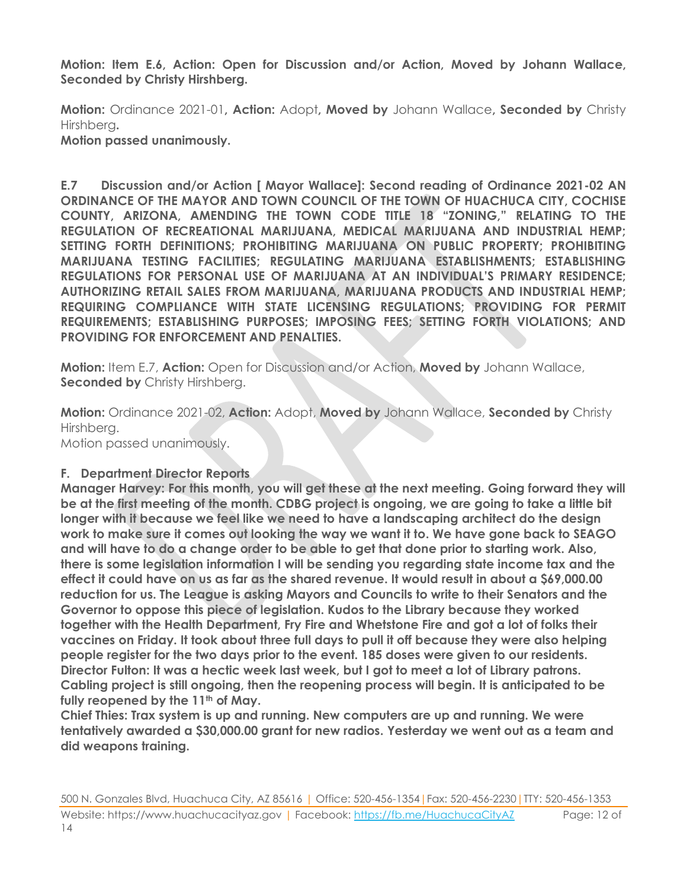**Motion: Item E.6, Action: Open for Discussion and/or Action, Moved by Johann Wallace, Seconded by Christy Hirshberg.**

**Motion:** Ordinance 2021-01**, Action:** Adopt**, Moved by** Johann Wallace**, Seconded by** Christy Hirshberg**. Motion passed unanimously.**

**E.7 Discussion and/or Action [ Mayor Wallace]: Second reading of Ordinance 2021-02 AN ORDINANCE OF THE MAYOR AND TOWN COUNCIL OF THE TOWN OF HUACHUCA CITY, COCHISE COUNTY, ARIZONA, AMENDING THE TOWN CODE TITLE 18 "ZONING," RELATING TO THE REGULATION OF RECREATIONAL MARIJUANA, MEDICAL MARIJUANA AND INDUSTRIAL HEMP; SETTING FORTH DEFINITIONS; PROHIBITING MARIJUANA ON PUBLIC PROPERTY; PROHIBITING MARIJUANA TESTING FACILITIES; REGULATING MARIJUANA ESTABLISHMENTS; ESTABLISHING REGULATIONS FOR PERSONAL USE OF MARIJUANA AT AN INDIVIDUAL'S PRIMARY RESIDENCE; AUTHORIZING RETAIL SALES FROM MARIJUANA, MARIJUANA PRODUCTS AND INDUSTRIAL HEMP; REQUIRING COMPLIANCE WITH STATE LICENSING REGULATIONS; PROVIDING FOR PERMIT REQUIREMENTS; ESTABLISHING PURPOSES; IMPOSING FEES; SETTING FORTH VIOLATIONS; AND PROVIDING FOR ENFORCEMENT AND PENALTIES.**

**Motion:** Item E.7, **Action:** Open for Discussion and/or Action, **Moved by** Johann Wallace, **Seconded by Christy Hirshberg.** 

**Motion:** Ordinance 2021-02, **Action:** Adopt, **Moved by** Johann Wallace, **Seconded by** Christy Hirshberg.

Motion passed unanimously.

#### **F. Department Director Reports**

**Manager Harvey: For this month, you will get these at the next meeting. Going forward they will be at the first meeting of the month. CDBG project is ongoing, we are going to take a little bit longer with it because we feel like we need to have a landscaping architect do the design work to make sure it comes out looking the way we want it to. We have gone back to SEAGO and will have to do a change order to be able to get that done prior to starting work. Also, there is some legislation information I will be sending you regarding state income tax and the effect it could have on us as far as the shared revenue. It would result in about a \$69,000.00 reduction for us. The League is asking Mayors and Councils to write to their Senators and the Governor to oppose this piece of legislation. Kudos to the Library because they worked together with the Health Department, Fry Fire and Whetstone Fire and got a lot of folks their vaccines on Friday. It took about three full days to pull it off because they were also helping people register for the two days prior to the event. 185 doses were given to our residents. Director Fulton: It was a hectic week last week, but I got to meet a lot of Library patrons. Cabling project is still ongoing, then the reopening process will begin. It is anticipated to be fully reopened by the 11th of May.**

**Chief Thies: Trax system is up and running. New computers are up and running. We were tentatively awarded a \$30,000.00 grant for new radios. Yesterday we went out as a team and did weapons training.**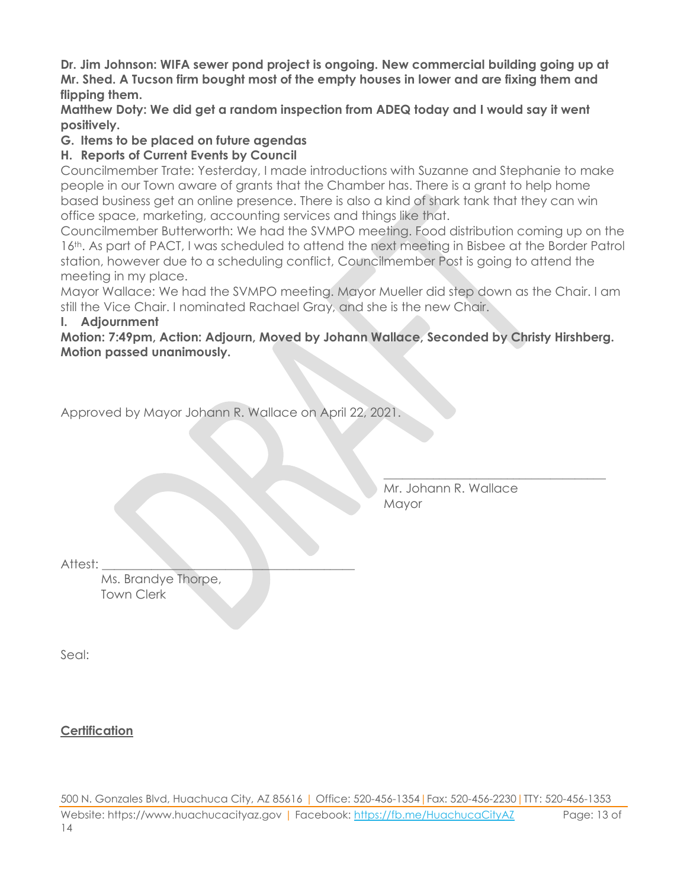**Dr. Jim Johnson: WIFA sewer pond project is ongoing. New commercial building going up at Mr. Shed. A Tucson firm bought most of the empty houses in lower and are fixing them and flipping them.**

**Matthew Doty: We did get a random inspection from ADEQ today and I would say it went positively.**

#### **G. Items to be placed on future agendas**

#### **H. Reports of Current Events by Council**

Councilmember Trate: Yesterday, I made introductions with Suzanne and Stephanie to make people in our Town aware of grants that the Chamber has. There is a grant to help home based business get an online presence. There is also a kind of shark tank that they can win office space, marketing, accounting services and things like that.

Councilmember Butterworth: We had the SVMPO meeting. Food distribution coming up on the 16<sup>th</sup>. As part of PACT, I was scheduled to attend the next meeting in Bisbee at the Border Patrol station, however due to a scheduling conflict, Councilmember Post is going to attend the meeting in my place.

Mayor Wallace: We had the SVMPO meeting. Mayor Mueller did step down as the Chair. I am still the Vice Chair. I nominated Rachael Gray, and she is the new Chair.

#### **I. Adjournment**

**Motion: 7:49pm, Action: Adjourn, Moved by Johann Wallace, Seconded by Christy Hirshberg. Motion passed unanimously.**

Approved by Mayor Johann R. Wallace on April 22, 2021.

Mr. Johann R. Wallace **Mayor** 

\_\_\_\_\_\_\_\_\_\_\_\_\_\_\_\_\_\_\_\_\_\_\_\_\_\_\_\_\_\_\_\_\_\_\_\_

Attest:

Ms. Brandye Thorpe, Town Clerk

Seal:

**Certification**